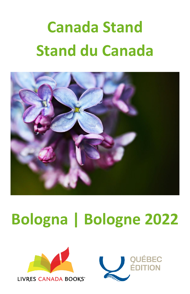# **Canada Stand Stand du Canada**



# **Bologna | Bologne 2022**



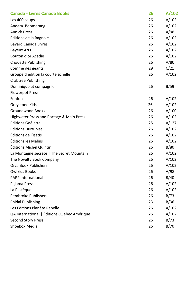| <b>Canada - Livres Canada Books</b>         | 26 | A/102 |
|---------------------------------------------|----|-------|
| Les 400 coups                               | 26 | A/102 |
| Andara   Boomerang                          | 26 | A/102 |
| <b>Annick Press</b>                         | 26 | A/98  |
| Éditions de la Bagnole                      | 26 | A/102 |
| <b>Bayard Canada Livres</b>                 | 26 | A/102 |
| <b>Bayeux Arts</b>                          | 26 | A/102 |
| Bouton d'or Acadie                          | 26 | A/102 |
| Chouette Publishing                         | 26 | A/80  |
| Comme des géants                            | 29 | C/21  |
| Groupe d'édition la courte échelle          | 26 | A/102 |
| <b>Crabtree Publishing</b>                  |    |       |
| Dominique et compagnie                      | 26 | B/59  |
| <b>Flowerpot Press</b>                      |    |       |
| Fonfon                                      | 26 | A/102 |
| Greystone Kids                              | 26 | A/102 |
| <b>Groundwood Books</b>                     | 26 | A/100 |
| Highwater Press and Portage & Main Press    | 26 | A/102 |
| Éditions Goélette                           | 25 | A/127 |
| Éditions Hurtubise                          | 26 | A/102 |
| Éditions de l'Isatis                        | 26 | A/102 |
| Éditions les Malins                         | 26 | A/102 |
| Éditions Michel Quintin                     | 26 | B/80  |
| La Montagne secrète   The Secret Mountain   | 26 | A/102 |
| The Novelty Book Company                    | 26 | A/102 |
| Orca Book Publishers                        | 26 | A/102 |
| Owlkids Books                               | 26 | A/98  |
| <b>PAPP International</b>                   | 26 | B/40  |
| Pajama Press                                | 26 | A/102 |
| La Pastègue                                 | 26 | A/102 |
| <b>Pembroke Publishers</b>                  | 26 | B/73  |
| <b>Phidal Publishing</b>                    | 23 | B/36  |
| Les Éditions Planète Rebelle                | 26 | A/102 |
| QA International   Éditions Québec Amérique | 26 | A/102 |
| <b>Second Story Press</b>                   | 26 | B/73  |
| Shoebox Media                               | 26 | B/70  |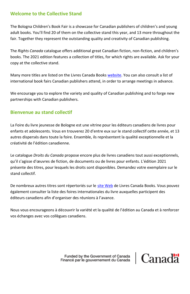#### **Welcome to the Collective Stand**

The Bologna Children's Book Fair is a showcase for Canadian publishers of children's and young adult books. You'll find 20 of them on the collective stand this year, and 13 more throughout the fair. Together they represent the outstanding quality and creativity of Canadian publishing.

The *Rights Canada* catalogue offers additional great Canadian fiction, non-fiction, and children's books. The 2021 edition features a collection of titles, for which rights are available. Ask for your copy at the collective stand.

Many more titles are listed on the Livres Canada Book[s website.](https://livrescanadabooks.com/en/) You can also consult a list of international book fairs Canadian publishers attend, in order to arrange meetings in advance.

We encourage you to explore the variety and quality of Canadian publishing and to forge new partnerships with Canadian publishers.

#### **Bienvenue au stand collectif**

La Foire du livre jeunesse de Bologne est une vitrine pour les éditeurs canadiens de livres pour enfants et adolescents. Vous en trouverez 20 d'entre eux sur le stand collectif cette année, et 13 autres dispersés dans toute la foire. Ensemble, ils représentent la qualité exceptionnelle et la créativité de l'édition canadienne.

Le catalogue *Droits du Canada* propose encore plus de livres canadiens tout aussi exceptionnels, qu'il s'agisse d'œuvres de fiction, de documents ou de livres pour enfants. L'édition 2021 présente des titres, pour lesquels les droits sont disponibles. Demandez votre exemplaire sur le stand collectif.

De nombreux autres titres sont répertoriés sur le [site Web](https://www.livrescanadabooks.com/fr) de Livres Canada Books. Vous pouvez également consulter la liste des foires internationales du livre auxquelles participent des éditeurs canadiens afin d'organiser des réunions à l'avance.

Nous vous encourageons à découvrir la variété et la qualité de l'édition au Canada et à renforcer vos échanges avec vos collègues canadiens.

> Funded by the Government of Canada Financé par le gouvernement du Canada

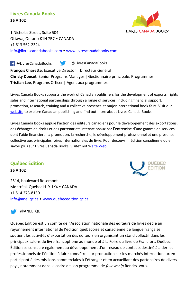#### **Livres Canada Books 26 A 102**



1 Nicholas Street, Suite 504 Ottawa, Ontario K1N 7B7 • CANADA +1 613 562-2324 [info@livrescanadabooks.com](mailto:info@livrescanadabooks.com) • [www.livrescanadabooks.com](http://www.livrescanadabooks.com/)

**François Charette**, Executive Director | Directeur Général **Christy Doucet**, Senior Programs Manager | Gestionnaire principale, Programmes **Tristian Lee**, Programs Officer | Agent aux programmes **F** @LivresCanadaBooks @LivresCanadaBooks

Livres Canada Books supports the work of Canadian publishers for the development of exports, rights sales and international partnerships through a range of services, including financial support, promotion, research, training and a collective presence at major international book fairs. Visit our [website](https://www.livrescanadabooks.com/) to explore Canadian publishing and find out more about Livres Canada Books.

Livres Canada Books appuie l'action des éditeurs canadiens pour le développement des exportations, des échanges de droits et des partenariats internationaux par l'entremise d'une gamme de services dont l'aide financière, la promotion, la recherche, le développement professionnel et une présence collective aux principales foires internationales du livre. Pour découvrir l'édition canadienne ou en savoir plus sur Livres Canada Books, visitez notr[e site Web.](https://www.livrescanadabooks.com/fr/)

#### **Québec Édition**

**26 A 102**

2514, boulevard Rosemont Montréal, Québec H1Y 1K4 • CANADA +1 514 273-8130 [info@anel.qc.ca](mailto:info@anel.qc.ca) • [www.quebecedition.qc.ca](http://www.quebecedition.qc.ca/) 



#### @ANEL\_QE

Québec Édition est un comité de l'Association nationale des éditeurs de livres dédié au rayonnement international de l'édition québécoise et canadienne de langue française. Il soutient les activités d'exportation des éditeurs en organisant un stand collectif dans les principaux salons du livre francophone au monde et à la Foire du livre de Francfort. Québec Édition se consacre également au développement d'un réseau de contacts destiné à aider les professionnels de l'édition à faire connaître leur production sur les marchés internationaux en participant à des missions commerciales à l'étranger et en accueillant des partenaires de divers pays, notamment dans le cadre de son programme de *fellowship* Rendez-vous.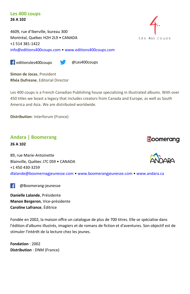#### **Les 400 coups 26 A 102**

4609, rue d'Iberville, bureau 300 Montréal, Québec H2H 2L9 • CANADA +1 514 381-1422 [info@editions400coups.com](mailto:info@editions400coups.com) • [www.editions400coups.com](http://www.editions400coups.com/) 

**Example 31** editionsles400coups **and Example 20** Les400coups

**Simon de Jocas**, President **Rhéa Dufresne**, Editorial Director

Les 400 coups is a French Canadian Publishing house specializing in illustrated albums. With over 450 titles we boast a legacy that includes creators from Canada and Europe, as well as South America and Asia. We are distributed worldwide.

**Distribution**: Interforum (France)

#### **Andara | Boomerang 26 A 102**

89, rue Marie-Antoinette Blainville, Québec J7C 0S9 • CANADA +1 450 430-3259 [dlalande@boomernagjeunesse.com](mailto:dlalande@boomernagjeunesse.com) • [www.boomerangjeunesse.com](http://www.boomerangjeunesse.com/) • [www.andara.ca](http://www.andara.ca/) 

 $\left| \right|$ [@Boomerang-jeunesse](https://www.facebook.com/GreystoneBooks/)

**Danielle Lalande**, Présidente **Manon Bergeron**, Vice-présidente **Caroline Lafrance**, Éditrice

Fondée en 2002, la maison offre un catalogue de plus de 700 titres. Elle se spécialise dans l'édition d'albums illustrés, imagiers et de romans de fiction et d'aventures. Son objectif est de stimuler l'intérêt de la lecture chez les jeunes.

**Fondation** : 2002 **Distribution** : DNM (France)



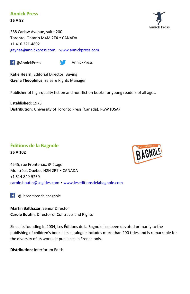#### **Annick Press**

**26 A 98**

388 Carlaw Avenue, suite 200 Toronto, Ontario M4M 2T4 • CANADA +1 416 221-4802 [gaynat@annickpress.com](mailto:gaynat@annickpress.com) · [www.annickpress.com](http://www.annickpress.com/)

**F** @AnnickPress **AnnickPress** 



**Katie Hearn**, Editorial Director, Buying **Gayna Theophilus**, Sales & Rights Manager

Publisher of high-quality fiction and non-fiction books for young readers of all ages.

**Established**: 1975 **Distribution**: University of Toronto Press (Canada), PGW (USA)

## **Éditions de la Bagnole**

**26 A 102**



4545, rue Frontenac, 3<sup>e</sup> étage Montréal, Québec H2H 2R7 • CANADA +1 514 849-5259 [carole.boutin@sogides.com](mailto:carole.boutin@sogides.com) • [www.leseditionsdelabagnole.com](http://www.leseditionsdelabagnole.com/)

 $\left| \right|$  @ leseditionsdelabagnole

**Martin Balthazar**, Senior Director **Carole Boutin**, Director of Contracts and Rights

Since its founding in 2004, Les Éditions de la Bagnole has been devoted primarily to the publishing of children's books. Its catalogue includes more than 200 titles and is remarkable for the diversity of its works. It publishes in French only.

**Distribution**: Interforum Editis

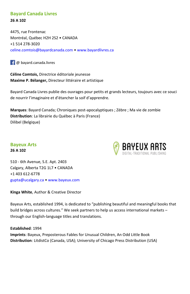#### **Bayard Canada Livres 26 A 102**

4475, rue Frontenac Montréal, Québec H2H 2S2 • CANADA +1 514 278-3020 [celine.comtois@bayardcanada.com](mailto:celine.comtois@bayardcanada.com) • [www.bayardlivres.ca](http://www.bayardlivres.ca/) 

**1** @ bayard.canada.livres

**Céline Comtois,** Directrice éditoriale jeunesse **Maxime P. Bélanger,** Directeur littéraire et artistique

Bayard Canada Livres publie des ouvrages pour petits et grands lecteurs, toujours avec ce souci de nourrir l'imaginaire et d'étancher la soif d'apprendre.

**Marques**: Bayard Canada; Chroniques post-apocalyptiques ; Zèbre ; Ma vie de zombie **Distribution**: La librairie du Québec à Paris (France) Dilibel (Belgique)

#### **Bayeux Arts 26 A 102**



510 - 6th Avenue, S.E. Apt. 2403 Calgary, Alberta T2G 1L7 • CANADA +1 403 612-6778 [gupta@ucalgary.ca](mailto:gupta@ucalgary.ca) • [www.bayeux.com](http://www.bayeux.com/)

**Kinga White**, Author & Creative Director

Bayeux Arts, established 1994, is dedicated to "publishing beautiful and meaningful books that build bridges across cultures." We seek partners to help us access international markets – through our English-language titles and translations.

**Established**: 1994

**Imprints**: Bayeux, Preposterous Fables for Unusual Children, An Odd Little Book **Distribution**: LitdistCo (Canada, USA); University of Chicago Press Distribution (USA)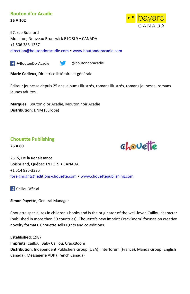#### **Bouton d'or Acadie**

**26 A 102**



97, rue Botsford Moncton, Nouveau Brunswick E1C 8L9 • CANADA +1 506 383-1367 [direction@boutondoracadie.com](mailto:direction@boutondoracadie.com) • [www.boutondoracadie.com](http://www.boutondoracadie.com/)

**F** @BoutonDorAcadie @boutondoracadie

**Marie Cadieux**, Directrice littéraire et générale

Éditeur jeunesse depuis 25 ans: albums illustrés, romans illustrés, romans jeunesse, romans jeunes adultes.

**Marques** : Bouton d'or Acadie, Mouton noir Acadie **Distribution**: DNM (Europe)

#### **Chouette Publishing**

**26 A 80**



2515, De la Renaissance Boisbriand, Québec J7H 1T9 • CANADA +1 514 925-3325 [foreignrights@editions-chouette.com](mailto:foreignrights@editions-chouette.com) • [www.chouettepublishing.com](http://www.chouettepublishing.com/)

**CaillouOfficial** 

**Simon Payette**, General Manager

Chouette specializes in children's books and is the originator of the well-loved Caillou character (published in more then 50 countries). Chouette's new imprint CrackBoom! focuses on creative novelty formats. Chouette sells rights and co-editions.

**Established**: 1987 **Imprints**: Caillou, Baby Caillou, CrackBoom! **Distribution**: Independent Publishers Group (USA), Interforum (France), Manda Group (English Canada), Messagerie ADP (French Canada)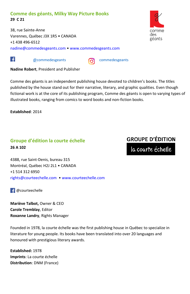#### **Comme des géants, Milky Way Picture Books 29 C 21**

38, rue Sainte-Anne Varennes, Québec J3X 1R5 • CANADA +1 438 496-6512 [nadine@commedesgeants.com](mailto:nadine@commedesgeants.com) • [www.commedesgeants.com](http://www.commedesgeants.com/)



۱£۱

**@commedesgeants commedesgeants** 

**Nadine Robert**, President and Publisher

Comme des géants is an independent publishing house devoted to children's books. The titles published by the house stand out for their narrative, literary, and graphic qualities. Even though fictional work is at the core of its publishing program, Comme des géants is open to varying types of illustrated books, ranging from comics to word books and non-fiction books.

**Established**: 2014

### **Groupe d'édition la courte échelle 26 A 102**

# **GROUPE D'ÉDITION**

la courte échelle

4388, rue Saint-Denis, bureau 315 Montréal, Québec H2J 2L1 • CANADA +1 514 312 6950 [rights@courteechelle.com](mailto:rights@courteechelle.com) • [www.courteechelle.com](http://www.courteechelle.com/) 

 $\Box$  @courteechelle

**Mariève Talbot,** Owner & CEO **Carole Tremblay**, Editor **Roxanne Landry**, Rights Manager

Founded in 1978, la courte échelle was the first publishing house in Québec to specialize in literature for young people. Its books have been translated into over 20 languages and honoured with prestigious literary awards.

**Established:** 1978 **Imprints**: La courte échelle **Distribution**: DNM (France)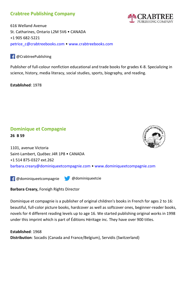#### **Crabtree Publishing Company**



616 Welland Avenue St. Catharines, Ontario L2M 5V6 • CANADA +1 905 682-5221 [petrice\\_c@crabtreebooks.com](mailto:petrice_c@crabtreebooks.com) • [www.crabtreebooks.com](http://www.crabtreebooks.com/)

#### $\left| \right|$  @ Crabtree Publishing

Publisher of full-colour nonfiction educational and trade books for grades K-8. Specializing in science, history, media literacy, social studies, sports, biography, and reading.

**Established**: 1978

#### **Dominique et Compagnie 26 B 59**



1101, avenue Victoria Saint-Lambert, Québec J4R 1P8 • CANADA +1 514 875-0327 ext.262 [barbara.creary@dominiqueetcompagnie.com](mailto:barbara.creary@dominiqueetcompagnie.com) • [www.dominiqueetcompagnie.com](http://www.dominiqueetcompagnie.com/)

**F** @dominiqueetcompagnie @@dominiqueetcie

#### **Barbara Creary,** Foreigh Rights Director

Dominique et compagnie is a publisher of original children's books in French for ages 2 to 16: beautiful, full-color picture books, hardcover as well as softcover ones, beginner-reader books, novels for 4 different reading levels up to age 16. We started publishing original works in 1998 under this imprint which is part of Éditions Héritage inc. They have over 900 titles.

**Established**: 1968 **Distribution**: Socadis (Canada and France/Belgium), Servidis (Switzerland)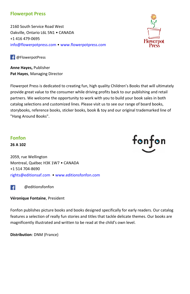#### **Flowerpot Press**

2160 South Service Road West Oakville, Ontario L6L 5N1 • CANADA +1 416 479-0695 [info@flowerpotpress.com](mailto:info@flowerpotpress.com) • [www.flowerpotpress.com](http://www.flowerpotpress.com/)

**f** @FlowerpotPress

**Anne Hayes,** Publisher **Pat Hayes**, Managing Director

Flowerpot Press is dedicated to creating fun, high quality Children's Books that will ultimately provide great value to the consumer while driving profits back to our publishing and retail partners. We welcome the opportunity to work with you to build your book sales in both catalog selections and customized lines. Please visit us to see our range of board books, storybooks, reference books, sticker books, book & toy and our original trademarked line of "Hang Around Books".

#### **Fonfon**

**26 A 102**

2059, rue Wellington Montreal, Québec H3K 1W7 • CANADA +1 514 704-8690 [rights@editionsaf.com](mailto:rights@editionsaf.com) • [www.editionsfonfon.com](http://www.editionsfonfon.com/)

 [@editionsfonfon](https://www.facebook.com/GreystoneBooks/)  $\left| \cdot \right|$ 

**Véronique Fontaine**, President

Fonfon publishes picture books and books designed specifically for early readers. Our catalog features a selection of really fun stories and titles that tackle delicate themes. Our books are magnificently illustrated and written to be read at the child's own level.

**Distribution**: DNM (France)



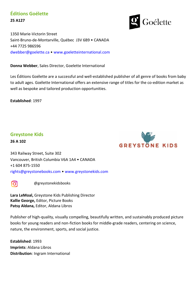### **Éditions Goélette 25 A127**

Goélette

1350 Marie-Victorin Street Saint-Bruno-de-Montarville, Québec J3V 6B9 • CANADA +44 7725 986596 [dwebber@goelette.ca](mailto:dwebber@goelette.ca) • [www.goeletteinternational.com](http://www.goeletteinternational.com/)

**Donna Webber**, Sales Director, Goelette International

Les Éditions Goélette are a successfuI and well-established publisher of all genre of books from baby to adult ages. Goélette International offers an extensive range of titles for the co-edition market as well as bespoke and tailored production opportunities.

**Established**: 1997

#### **Greystone Kids**

**26 A 102**



343 Railway Street, Suite 302 Vancouver, British Columbia V6A 1A4 • CANADA +1 604 875-1550 [rights@greystonebooks.com](mailto:rights@greystonebooks.com) • [www.greystonekids.com](http://www.greystonekids.com/)



[@greystonekidsbooks](https://www.instagram.com/greystonebooks/)

**Lara LeMoal,** Greystone Kids Publishing Director **Kallie George,** Editor, Picture Books **Patsy Aldana,** Editor, Aldana Libros

Publisher of high-quality, visually compelling, beautifully written, and sustainably produced picture books for young readers and non-fiction books for middle-grade readers, centering on science, nature, the environment, sports, and social justice.

**Established**: 1993 **Imprints**: Aldana Libros **Distribution**: Ingram International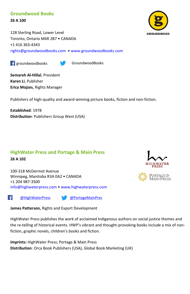#### **Groundwood Books**

**26 A 100**

128 Sterling Road, Lower Level Toronto, Ontario M6R 2B7 • CANADA +1 416 363-4343 [rights@groundwoodbooks.com](mailto:rights@groundwoodbooks.com) • [www.groundwoodbooks.com](http://www.groundwoodbooks.com/)

**F** groundwoodbooks GroundwoodBooks

**Semareh Al-Hillal**, President **Karen Li**, Publisher **Erica Mojzes**, Rights Manager

Publishers of high-quality and award-winning picture books, fiction and non-fiction.

**Established**: 1978 **Distribution**: Publishers Group West (USA)

#### **HighWater Press and Portage & Main Press 26 A 102**

100-318 McDermot Avenue Winnipeg, Manitoba R3A 0A2 • CANADA +1 204 987-3500 [info@highwaterpress.com](mailto:info@highwaterpress.com) • [www.highwaterpress.com](http://www.highwaterpress.com/)

Æ.

[@HighWaterPress](https://www.facebook.com/HighWaterPress/) [@PortageMainPres](https://twitter.com/PortageMainPres)

**James Patterson,** Rights and Export Development

HighWater Press publishes the work of acclaimed Indigenous authors on social justice themes and the re-telling of historical events. HWP's vibrant and thought-provoking books include a mix of nonfiction, graphic novels, children's books and fiction.

**Imprints:** HighWater Press; Portage & Main Press **Distribution**: Orca Book Publishers (USA), Global Book Marketing (UK)



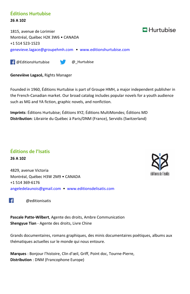#### **Éditions Hurtubise 26 A 102**

1815, avenue de Lorimier Montréal, Québec H2K 3W6 • CANADA +1 514 523-1523 [genevieve.lagace@groupehmh.com](mailto:genevieve.lagace@groupehmh.com) • [www.editionshurtubise.com](http://www.editionshurtubise.com/)

**F** @EditionsHurtubise **@\_Hurtubise** 

**Geneviève Lagacé,** Rights Manager

Founded in 1960, Éditions Hurtubise is part of Groupe HMH, a major independent publisher in the French-Canadian market. Our broad catalog includes popular novels for a youth audience such as MG and YA fiction, graphic novels, and nonfiction.

**Imprints**: Éditions Hurtubise; Éditions XYZ; Éditions MultiMondes; Éditions MD **Distribution**: Librairie du Québec à Paris/DNM (France), Servidis (Switzerland)

# **Éditions de l'Isatis**

**26 A 102**

4829, avenue Victoria Montréal, Québec H3W 2M9 • CANADA +1 514 369-6176 [angeledelaunois@gmail.com](mailto:angeledelaunois@gmail.com) • [www.editionsdelisatis.com](http://www.editionsdelisatis.com/)

 $\overline{f}$ [@editionisatis](https://www.facebook.com/GreystoneBooks/)

**Pascale Patte-Wilbert**, Agente des droits, Ambre Communication **Shengyue Tian** - Agente des droits, Livre Chine

Grands documentaires, romans graphiques, des minis documentaires poétiques, albums aux thématiques actuelles sur le monde qui nous entoure.

**Marques** : Bonjour l'histoire, Clin d'œil, Griff, Point doc, Tourne-Pierre, **Distribution** : DNM (Francophone Europe)



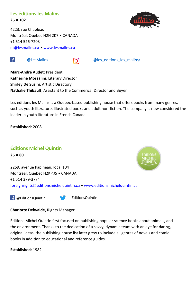#### **Les éditions les Malins 26 A 102**

4223, rue Chapleau Montréal, Québec H2H 2K7 • CANADA +1 514 526-7203 [nt@lesmalins.ca](mailto:nt@lesmalins.ca) • [www.lesmalins.ca](http://www.lesmalins.ca/)



[@LesMalins](https://www.facebook.com/Lesmalins/) [@les\\_editions\\_les\\_malins/](https://www.instagram.com/les_editions_les_malins/)

**Marc-André Audet:** President **Katherine Mossalim**, Literary Director **Shirley De Susini**, Artistic Directory **Nathalie Thibault**, Assistant to the Commerical Director and Buyer

Les éditions les Malins is a Quebec-based publishing house that offers books from many genres, such as youth literature, illustrated books and adult non-fiction. The company is now considered the leader in youth literature in French Canada.

**Established**: 2008

 $\left| \right|$ 

#### **Éditions Michel Quintin 26 A 80**

2259, avenue Papineau, local 104 Montréal, Québec H2K 4J5 • CANADA +1 514 379-3774 [foreignrights@editionsmichelquintin.ca](mailto:foreignrights@editionsmichelquintin.ca) • [www.editionsmichelquintin.ca](http://www.editionsmichelquintin.ca/)

**F** @EditionsQuintin **EditionsQuintin** 

#### **Charlotte Delwaide,** Rights Manager

Éditions Michel Quintin first focused on publishing popular science books about animals, and the environment. Thanks to the dedication of a savvy, dynamic team with an eye for daring, original ideas, the publishing house list later grew to include all genres of novels and comic books in addition to educational and reference guides.

**Established**: 1982

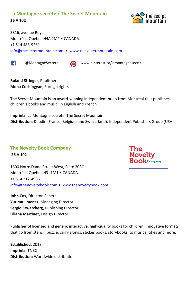#### **La Montagne secrète / The Secret Mountain 26 A 102**



3816, avenue Royal Montréal, Québec H4A 2M2 • CANADA +1 514 483-9281 [info@thesecretmountain.com](mailto:info@thesecretmountain.com) • [www.thesecretmountain.com](http://www.thesecretmountain.com/)





 [@MontagneSecrete](https://www.facebook.com/OrcaBook/) www.pinterest.ca/lamontagnesecrt/

**Roland Stringer**, Publisher **Mona Cochingyan**, Foreign rights

The Secret Mountain is an award-winning independent press from Montreal that publishes children's books and music, in English and French.

**Imprints**: La Montagne secrète, The Secret Mountain **Distribution**: Daudin (France, Belgium and Switzerland), Independent Publishers Group (USA)

#### **The Novelty Book Company**

**26 A 102**

1600 Notre Dame Street West, Suite 208C Montréal, Québec H3J 1M1 • CANADA +1 514 312-4966 [info@thenoveltybook.com](mailto:info@thenoveltybook.com) • [www.thenoveltybook.com](http://www.thenoveltybook.com/)

**John Cox**, Director General **Yurima Jimenez**, Managing Director **Sergio Szwarcberg**, Publishing Director **Liliana Martinez**, Design Director

Publisher of licensed and generic interactive, high-quality books for children. Innovative formats that go from stencil, puzzle, carry alongs, sticker books, storybooks, to musical titles and more.

**Established**: 2013 **Imprints**: TNBC **Distribution:** Worldwide distribution

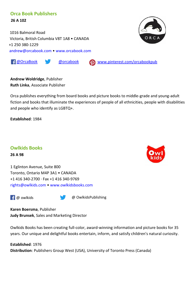#### **Orca Book Publishers**

 **26 A 102**

 1016 Balmoral Road Victoria, British Columbia V8T 1A8 • CANADA +1 250 380-1229 [andrew@orcabook.com](mailto:andrew@orcabook.com) • [www.orcabook.com](http://www.orcabook.com/)



[@OrcaBook](https://www.facebook.com/OrcaBook/) [@orcabook](https://twitter.com/orcabook) [www.pinterest.com/orcabookpub](http://www.pinterest.com/orcabookpub)

**Andrew Woldridge**, Publisher **Ruth Linka**, Associate Publisher

Orca publishes everything from board books and picture books to middle-grade and young-adult fiction and books that illuminate the experiences of people of all ethnicities, people with disabilities and people who identify as LGBTQ+.

**Established**: 1984

#### **Owlkids Books**

**26 A 98**

1 Eglinton Avenue, Suite 800 Toronto, Ontario M4P 3A1 • CANADA +1 416 340-2700 · Fax +1 416 340-9769 [rights@owlkids.com](mailto:rights@owlkids.com) • [www.owlkidsbooks.com](http://www.owlkidsbooks.com/)

**F** @ owlkids **@** OwlkidsPublishing

**Karen Boersma**, Publisher **Judy Brunsek**, Sales and Marketing Director

Owlkids Books has been creating full-color, award-winning information and picture books for 35 years. Our unique and delightful books entertain, inform, and satisfy children's natural curiosity.

**Established**: 1976 **Distribution**: Publishers Group West (USA), University of Toronto Press (Canada)

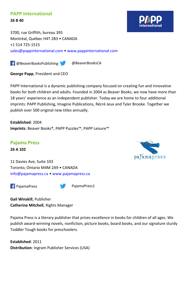#### **PAPP International**

**26 B 40**

3700, rue Griffith, bureau 395 Montréal, Québec H4T 2B3 • CANADA +1 514 725-1515 [sales@pappinternational.com](mailto:sales@pappinternational.com) • [www.pappinternational.com](http://www.pappinternational.com/) 

**F** @BeaverBooksPublishing **@DeaverBooksCA** 

**George Papp**, President and CEO

PAPP International is a dynamic publishing company focused on creating fun and innovative books for both children and adults. Founded in 2004 as Beaver Books, we now have more than 18 years' experience as an independent publisher. Today we are home to four additional imprints: PAPP Publishing, Imagine Publications, Récré Jeux and Tyler Brooke. Together we publish over 500 original new titles annually.

**Established**: 2004 **Imprints**: Beaver Books®, PAPP Puzzles™, PAPP Leisure™



**Pajama Press 26 A 102**

11 Davies Ave, Suite 103 Toronto, Ontario M4M 2A9 • CANADA [info@pajamapress.ca](mailto:info@pajamapress.ca) • [www.pajamapress.ca](http://www.pajamapress.ca/)



**Gail Winskill**, Publisher **Catherine Mitchell**, Rights Manager

Pajama Press is a literary publisher that prizes excellence in books for children of all ages. We publish award-winning novels, nonfiction, picture books, board books, and our signature sturdy Toddler Tough books for preschoolers.

**Established**: 2011 **Distribution**: Ingram Publisher Services (USA)

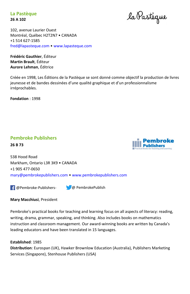**La Pastèque 26 A 102**

la Pastèque

102, avenue Laurier Ouest Montréal, Québec H2T2N7 • CANADA +1 514 627-1585 [fred@lapasteque.com](mailto:fred@lapasteque.com) • [www.lapasteque.com](http://www.lapasteque.com/)

**Frédéric Gauthier**, Éditeur **Martin Brault**, Éditeur **Aurore Lehman**, Éditrice

Créée en 1998, Les Éditions de la Pastèque se sont donné comme objectif la production de livres jeunesse et de bandes dessinées d'une qualité graphique et d'un professionnalisme irréprochables.

**Fondation** : 1998

#### **Pembroke Publishers**

**26 B 73**



538 Hood Road Markham, Ontario L3R 3K9 • CANADA +1 905 477-0650 [mary@pembrokepublishers.com](mailto:mary@pembrokepublishers.com) • [www.pembrokepublishers.com](http://www.pembrokepublishers.com/)

@Pembroke-Publishers-@ PembrokePublish

**Mary Macchiusi**, President

Pembroke's practical books for teaching and learning focus on all aspects of literacy: reading, writing, drama, grammar, speaking, and thinking. Also includes books on mathematics instruction and classroom management. Our award-winning books are written by Canada's leading educators and have been translated in 15 languages.

#### **Established**: 1985

**Distribution**: Eurospan (UK), Hawker Brownlow Education (Australia), Publishers Marketing Services (Singapore), Stenhouse Publishers (USA)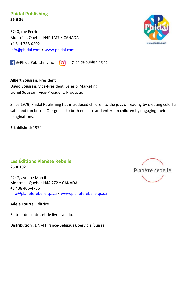#### **Phidal Publishing 26 B 36**

5740, rue Ferrier Montréal, Québec H4P 1M7 • CANADA +1 514 738-0202 [info@phidal.com](mailto:info@phidal.com) • [www.phidal.com](http://www.phidal.com/) 

 $\begin{array}{|c|c|c|c|c|c|}\hline \textbf{f} & \textbf{Q} & \textbf{phidal} \textbf{publishing} \hline \end{array}$ 



**Albert Soussan**, President **David Soussan**, Vice-President, Sales & Marketing **Lionel Soussan**, Vice-President, Production

Since 1979, Phidal Publishing has introduced children to the joys of reading by creating colorful, safe, and fun books. Our goal is to both educate and entertain children by engaging their imaginations.

**Established**: 1979

#### **Les Éditions Planète Rebelle 26 A 102**

2247, avenue Marcil Montréal, Québec H4A 2Z2 • CANADA +1 438 406-4736 [info@planeterebelle.qc.ca](mailto:info@planeterebelle.qc.ca) • [www.planeterebelle.qc.ca](http://www.planeterebelle.qc.ca/)

**Adèle Tourte**, Éditrice

Éditeur de contes et de livres audio.

**Distribution** : DNM (France-Belgique), Servidis (Suisse)



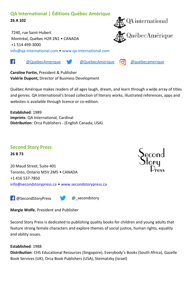#### **QA International | Éditions Québec Amérique 26 A 102**

7240, rue Saint-Hubert Montréal, Québec H2R 2N1 • CANADA +1 514 499-3000 [info@qa-international.com](mailto:info@qa-international.com) • [www.qa-international.com](http://www.qa-international.com/)

۱£۱

[@QuebecAmerique](https://www.facebook.com/QuebecAmerique/) [@QuebecAmerique](https://twitter.com/QuebecAmerique) [@quebecamerique](https://www.instagram.com/quebecamerique/)

**Caroline Fortin,** President & Publisher **Valérie Dupont,** Director of Business Development

Québec Amérique makes readers of all ages laugh, dream, and learn through a wide array of titles and genres. QA International's broad collection of literary works, illustrated references, apps and websites is available through licence or co-edition.

**Established**: 1989 **Imprints**: QA International, Cardinal **Distribution**: Orca Publishers - (English Canada; USA)

#### **Second Story Press**

**26 B 73**

20 Maud Street, Suite 401 Toronto, Ontario M5V 2M5 • CANADA +1 416 537-7850 [info@secondstorypress.ca](mailto:info@secondstorypress.ca) • [www.secondstorypress.ca](http://www.secondstorypress.ca/)

**F** @SecondStoryPress @ secondstory

**Margie Wolfe**, President and Publisher

Second Story Press is dedicated to publishing quality books for children and young adults that feature strong female characters and explore themes of social justice, human rights, equality and ability issues.

#### **Established**: 1988

**Distribution**: CHS Educational Resources (Singapore), Everybody's Books (South Africa), Gazelle Book Services (UK), Orca Book Publishers (USA), Steimatzky (Israel)



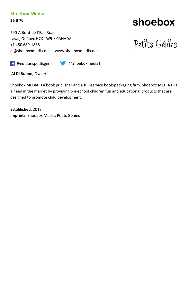## **Shoebox Media**

**26 B 70**

790-A Bord-de-l'Eau Road Laval, Québec H7X 1W5 • CANADA +1 450 689-1888 [al@shoeboxmedia.net](mailto:al@shoeboxmedia.net) · [www.shoeboxmedia.net](http://www.shoeboxmedia.net/)

# shoebox

# Petits Génies

@editionspetitsgenie @Shoeboxmedia1

**Al Di Buono**, Owner

Shoebox MEDIA is a book publisher and a full-service book-packaging firm. Shoebox MEDIA fills a need in the market by providing pre-school children fun and educational products that are designed to promote child development.

**Established**: 2013 **Imprints**: Shoebox Media; Petits Génies